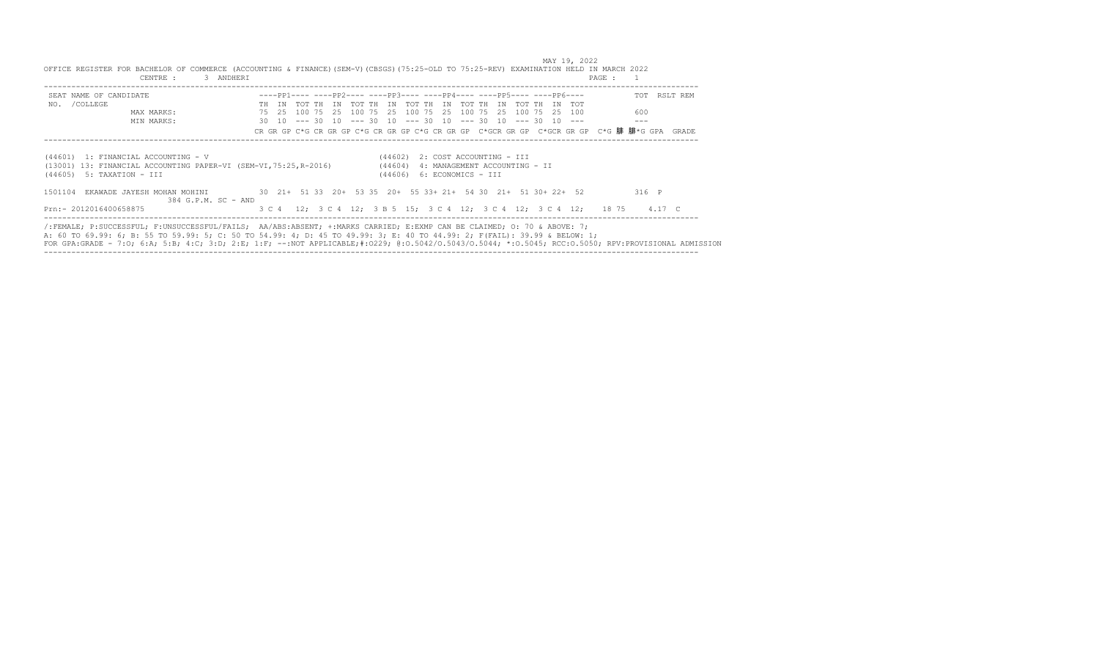| 3 ANDHERI<br>CENTRE :                                                                                                                           | $\{x,y\}\cup\{x\}$ is a commutation of $\{y\}\cup\{y\}\cup\{y\}\cup\{y\}$ , $\{y\}\cup\{y\}\cup\{y\}$ , $\{y\}\cup\{y\}$ , $\{y\}\cup\{y\}$ , $\{y\}\cup\{y\}$ , $\{y\}\cup\{y\}$ , $\{y\}\cup\{y\}$ , $\{y\}\cup\{y\}$ , $\{y\}\cup\{y\}$ , $\{y\}\cup\{y\}$ , $\{y\}\cup\$                                                                                                                                | PAGE :       |
|-------------------------------------------------------------------------------------------------------------------------------------------------|-------------------------------------------------------------------------------------------------------------------------------------------------------------------------------------------------------------------------------------------------------------------------------------------------------------------------------------------------------------------------------------------------------------|--------------|
| SEAT NAME OF CANDIDATE                                                                                                                          | $---pp1--- ----pp2--- ----pp3--- ----pp4--- ----pp5--- ----pp5--- ----pp6--- -$                                                                                                                                                                                                                                                                                                                             | TOT RSLT REM |
| NO. / COLLEGE                                                                                                                                   | TH IN TOT TH IN TOT TH IN TOT TH IN TOT TH IN TOT TH IN TOT                                                                                                                                                                                                                                                                                                                                                 |              |
| MAX MARKS:<br>MIN MARKS:                                                                                                                        | 75   25   100   75   25   100   75   25   100   75   25   100   100   75   25   100<br>$30$ 10 --- 30 10 --- 30 10 --- 30 10 --- 30 10 --- 30 10 ---                                                                                                                                                                                                                                                        | 600          |
|                                                                                                                                                 | CR GR GP C*G CR GR GP C*G CR GR GP C*G CR GR GP C*GCR GR GP C*GCR GR GP C*G DH PHI*G GPA GRADE                                                                                                                                                                                                                                                                                                              |              |
| (44601) 1: FINANCIAL ACCOUNTING - V<br>(13001) 13: FINANCIAL ACCOUNTING PAPER-VI (SEM-VI, 75:25, R-2016) (44604)<br>$(44605)$ 5: TAXATION - III | $(44602)$ 2: COST ACCOUNTING - III<br>4: MANAGEMENT ACCOUNTING - II<br>$(44606)$ 6: ECONOMICS - III                                                                                                                                                                                                                                                                                                         |              |
| 1501104<br>384 G.P.M. SC - AND                                                                                                                  | EKAWADE JAYESH MOHAN MOHINI 30 21+ 51 33 20+ 53 35 20+ 55 33+ 21+ 54 30 21+ 51 30+ 22+ 52 316 P                                                                                                                                                                                                                                                                                                             |              |
| Prn:- 2012016400658875                                                                                                                          | 3 C 4 12: 3 C 4 12: 3 B 5 15: 3 C 4 12: 3 C 4 12: 3 C 4 12: 18 75 4.17 C                                                                                                                                                                                                                                                                                                                                    |              |
|                                                                                                                                                 | /:FEMALE; P:SUCCESSFUL; F:UNSUCCESSFUL/FAILS; AA/ABS:ABSENT; +:MARKS CARRIED; E:EXMP CAN BE CLAIMED; O: 70 & ABOVE: 7;<br>A: 60 TO 69.99: 6; B: 55 TO 59.99: 5; C: 50 TO 54.99: 4; D: 45 TO 49.99: 3; E: 40 TO 44.99: 2; F(FAIL): 39.99 & BELOW: 1;<br>FOR GPA:GRADE - 7:0; 6:A; 5:B; 4:C; 3:D; 2:E; 1:F; --:NOT APPLICABLE;#:0229; 0:0.5042/0.5043/0.5044; *:0.5045; RCC:0.5050; RPV:PROVISIONAL ADMISSION |              |

MAY 19, 2022<br>OFFICE REGISTER FOR BACHELOR OF COMMERCE (ACCOUNTING & FINANCE)(SEM-V)(CBSGS)(75:25-OLD TO 75:25-REV) EXAMINATION HELD IN MARCH 2022